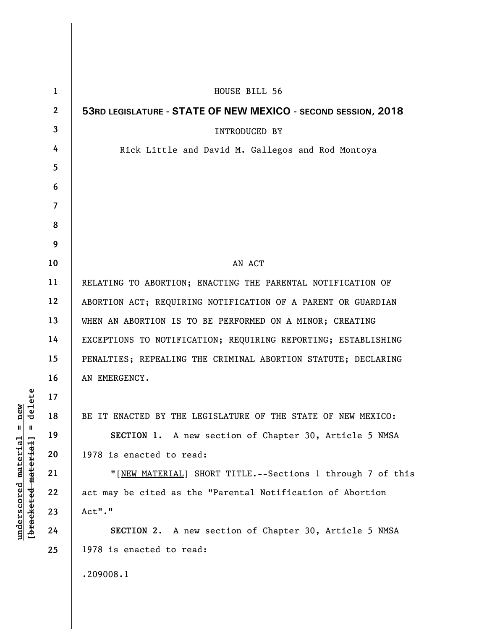| $\mathbf{1}$ | HOUSE BILL 56                                                 |
|--------------|---------------------------------------------------------------|
| $\mathbf{2}$ | 53RD LEGISLATURE - STATE OF NEW MEXICO - SECOND SESSION, 2018 |
| 3            | <b>INTRODUCED BY</b>                                          |
| 4            | Rick Little and David M. Gallegos and Rod Montoya             |
| 5            |                                                               |
| 6            |                                                               |
| 7            |                                                               |
| 8            |                                                               |
| 9            |                                                               |
| 10           | AN ACT                                                        |
| 11           | RELATING TO ABORTION; ENACTING THE PARENTAL NOTIFICATION OF   |
| 12           | ABORTION ACT; REQUIRING NOTIFICATION OF A PARENT OR GUARDIAN  |
| 13           | WHEN AN ABORTION IS TO BE PERFORMED ON A MINOR; CREATING      |
| 14           | EXCEPTIONS TO NOTIFICATION; REQUIRING REPORTING; ESTABLISHING |
| 15           | PENALTIES; REPEALING THE CRIMINAL ABORTION STATUTE; DECLARING |
| 16           | AN EMERGENCY.                                                 |
| 17           |                                                               |
| 18           | BE IT ENACTED BY THE LEGISLATURE OF THE STATE OF NEW MEXICO:  |
| 19           | SECTION 1. A new section of Chapter 30, Article 5 NMSA        |
| 20           | 1978 is enacted to read:                                      |
| 21           | "[NEW MATERIAL] SHORT TITLE.--Sections 1 through 7 of this    |
| 22           | act may be cited as the "Parental Notification of Abortion    |
| 23           | Act"."                                                        |
| 24           | <b>SECTION 2.</b> A new section of Chapter 30, Article 5 NMSA |
| 25           | 1978 is enacted to read:                                      |
|              | .209008.1                                                     |

 $[**bracket eted metert et**] = **del et e**$ **[bracketed material] = delete**  $underscored material = new$ **underscored material = new**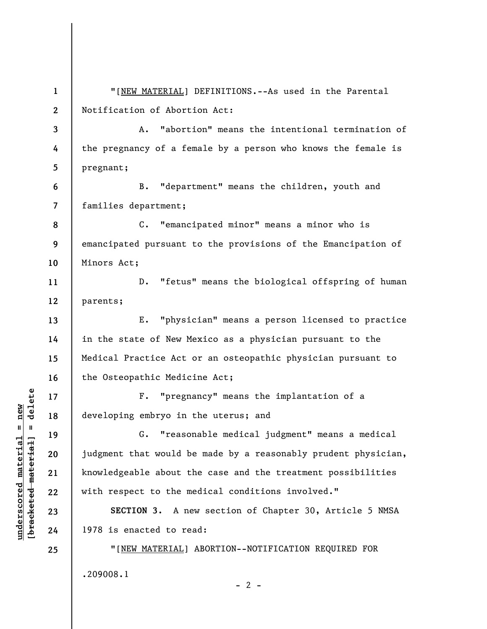**1 2 3 4 5 6 7 8 9 10 11 12 13 14 15 16 17 18 19 20 21 22 23 24 25**  "[NEW MATERIAL] DEFINITIONS.--As used in the Parental Notification of Abortion Act: A. "abortion" means the intentional termination of the pregnancy of a female by a person who knows the female is pregnant; B. "department" means the children, youth and families department; C. "emancipated minor" means a minor who is emancipated pursuant to the provisions of the Emancipation of Minors Act; D. "fetus" means the biological offspring of human parents; E. "physician" means a person licensed to practice in the state of New Mexico as a physician pursuant to the Medical Practice Act or an osteopathic physician pursuant to the Osteopathic Medicine Act; F. "pregnancy" means the implantation of a developing embryo in the uterus; and G. "reasonable medical judgment" means a medical judgment that would be made by a reasonably prudent physician, knowledgeable about the case and the treatment possibilities with respect to the medical conditions involved." **SECTION 3.** A new section of Chapter 30, Article 5 NMSA 1978 is enacted to read: "[NEW MATERIAL] ABORTION--NOTIFICATION REQUIRED FOR .209008.1  $- 2 -$ 

**underscored material = new [bracketed material] = delete**

 $b$ racketed material] = delete  $underscored material = new$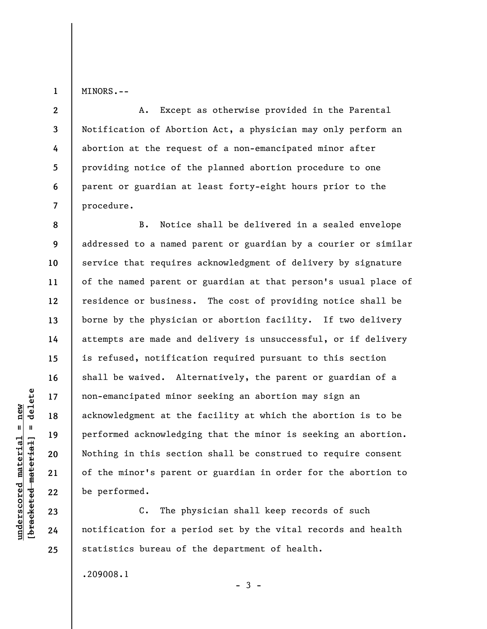**1**  MINORS.--

**8** 

**9** 

**10** 

**11** 

**12** 

**13** 

**14** 

**15** 

**16** 

**17** 

**18** 

**19** 

**20** 

**21** 

**22** 

**23** 

**24** 

**25** 

**2 3 4 5 6 7**  A. Except as otherwise provided in the Parental Notification of Abortion Act, a physician may only perform an abortion at the request of a non-emancipated minor after providing notice of the planned abortion procedure to one parent or guardian at least forty-eight hours prior to the procedure.

B. Notice shall be delivered in a sealed envelope addressed to a named parent or guardian by a courier or similar service that requires acknowledgment of delivery by signature of the named parent or guardian at that person's usual place of residence or business. The cost of providing notice shall be borne by the physician or abortion facility. If two delivery attempts are made and delivery is unsuccessful, or if delivery is refused, notification required pursuant to this section shall be waived. Alternatively, the parent or guardian of a non-emancipated minor seeking an abortion may sign an acknowledgment at the facility at which the abortion is to be performed acknowledging that the minor is seeking an abortion. Nothing in this section shall be construed to require consent of the minor's parent or guardian in order for the abortion to be performed.

C. The physician shall keep records of such notification for a period set by the vital records and health statistics bureau of the department of health.

 $-3 -$ 

.209008.1

 $b$ racketed material] = delete **[bracketed material] = delete**  $underscored material = new$ **underscored material = new**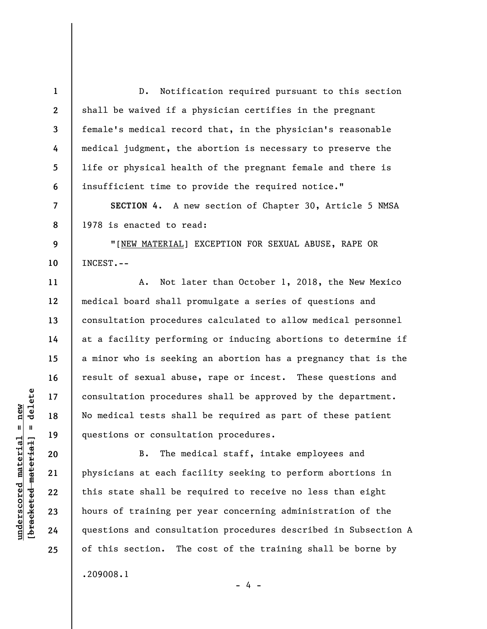**1 2 3 4 5 6 7 8 9 10 11 12 13 14 15 16 17 18 19 20**  D. Notification required pursuant to this section shall be waived if a physician certifies in the pregnant female's medical record that, in the physician's reasonable medical judgment, the abortion is necessary to preserve the life or physical health of the pregnant female and there is insufficient time to provide the required notice." **SECTION 4.** A new section of Chapter 30, Article 5 NMSA 1978 is enacted to read: "[NEW MATERIAL] EXCEPTION FOR SEXUAL ABUSE, RAPE OR INCEST.-- A. Not later than October 1, 2018, the New Mexico medical board shall promulgate a series of questions and consultation procedures calculated to allow medical personnel at a facility performing or inducing abortions to determine if a minor who is seeking an abortion has a pregnancy that is the result of sexual abuse, rape or incest. These questions and consultation procedures shall be approved by the department. No medical tests shall be required as part of these patient questions or consultation procedures. B. The medical staff, intake employees and

physicians at each facility seeking to perform abortions in this state shall be required to receive no less than eight hours of training per year concerning administration of the questions and consultation procedures described in Subsection A of this section. The cost of the training shall be borne by .209008.1

- 4 -

 $\frac{1}{2}$  intereted material = delete **[bracketed material] = delete**  $underscored material = new$ **underscored material = new**

**21** 

**22** 

**23** 

**24**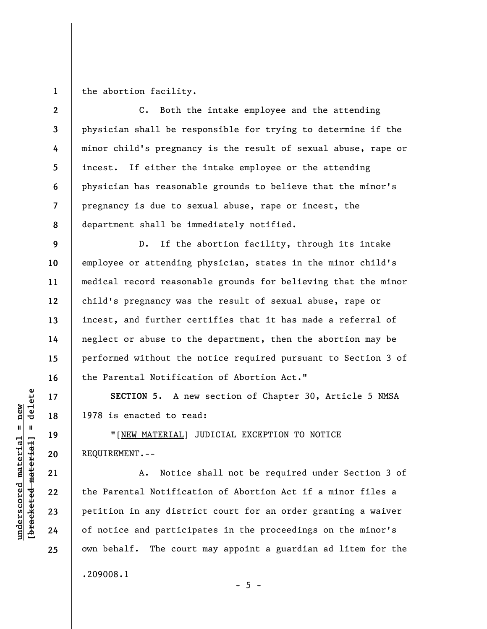**1**  the abortion facility.

**2 3 4 5 6 7 8**  C. Both the intake employee and the attending physician shall be responsible for trying to determine if the minor child's pregnancy is the result of sexual abuse, rape or incest. If either the intake employee or the attending physician has reasonable grounds to believe that the minor's pregnancy is due to sexual abuse, rape or incest, the department shall be immediately notified.

D. If the abortion facility, through its intake employee or attending physician, states in the minor child's medical record reasonable grounds for believing that the minor child's pregnancy was the result of sexual abuse, rape or incest, and further certifies that it has made a referral of neglect or abuse to the department, then the abortion may be performed without the notice required pursuant to Section 3 of the Parental Notification of Abortion Act."

**SECTION 5.** A new section of Chapter 30, Article 5 NMSA 1978 is enacted to read:

"[NEW MATERIAL] JUDICIAL EXCEPTION TO NOTICE REQUIREMENT.--

A. Notice shall not be required under Section 3 of the Parental Notification of Abortion Act if a minor files a petition in any district court for an order granting a waiver of notice and participates in the proceedings on the minor's own behalf. The court may appoint a guardian ad litem for the .209008.1

 $- 5 -$ 

 $\frac{1}{2}$  intereted material = delete **[bracketed material] = delete**  $underscored material = new$ **underscored material = new**

**9** 

**10** 

**11** 

**12** 

**13** 

**14** 

**15** 

**16** 

**17** 

**18** 

**19** 

**20** 

**21** 

**22** 

**23** 

**24**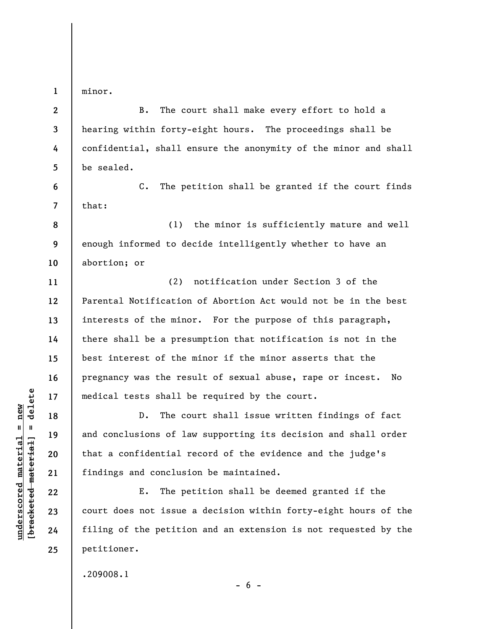minor.

**1** 

**6** 

**7** 

**11** 

**12** 

**13** 

**14** 

**15** 

**16** 

**17** 

**18** 

**19** 

**20** 

**21** 

**22** 

**23** 

**24** 

**25** 

**2 3 4 5**  B. The court shall make every effort to hold a hearing within forty-eight hours. The proceedings shall be confidential, shall ensure the anonymity of the minor and shall be sealed.

C. The petition shall be granted if the court finds that:

**8 9 10**  (1) the minor is sufficiently mature and well enough informed to decide intelligently whether to have an abortion; or

(2) notification under Section 3 of the Parental Notification of Abortion Act would not be in the best interests of the minor. For the purpose of this paragraph, there shall be a presumption that notification is not in the best interest of the minor if the minor asserts that the pregnancy was the result of sexual abuse, rape or incest. No medical tests shall be required by the court.

D. The court shall issue written findings of fact and conclusions of law supporting its decision and shall order that a confidential record of the evidence and the judge's findings and conclusion be maintained.

E. The petition shall be deemed granted if the court does not issue a decision within forty-eight hours of the filing of the petition and an extension is not requested by the petitioner.

 $- 6 -$ 

.209008.1

 $\frac{1}{2}$  intereted material = delete **[bracketed material] = delete**  $underscored$  material = new **underscored material = new**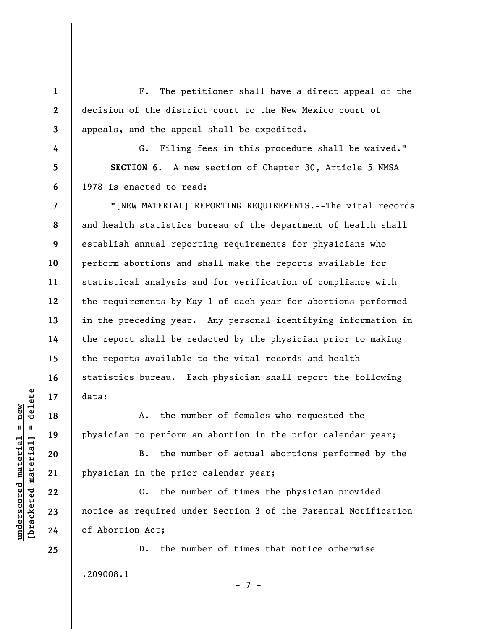F. The petitioner shall have a direct appeal of the decision of the district court to the New Mexico court of appeals, and the appeal shall be expedited.

G. Filing fees in this procedure shall be waived." **SECTION 6.** A new section of Chapter 30, Article 5 NMSA 1978 is enacted to read:

**7 8 9 10 11 12 13 14 15 16 17**  "[NEW MATERIAL] REPORTING REQUIREMENTS.--The vital records and health statistics bureau of the department of health shall establish annual reporting requirements for physicians who perform abortions and shall make the reports available for statistical analysis and for verification of compliance with the requirements by May 1 of each year for abortions performed in the preceding year. Any personal identifying information in the report shall be redacted by the physician prior to making the reports available to the vital records and health statistics bureau. Each physician shall report the following data:

A. the number of females who requested the physician to perform an abortion in the prior calendar year;

B. the number of actual abortions performed by the physician in the prior calendar year;

C. the number of times the physician provided notice as required under Section 3 of the Parental Notification of Abortion Act;

D. the number of times that notice otherwise .209008.1

- 7 -

 $\frac{1}{2}$  intereted material = delete **[bracketed material] = delete**  $underscored material = new$ **underscored material = new**

**18** 

**19** 

**20** 

**21** 

**22** 

**23** 

**24** 

**25** 

**1** 

**2** 

**3** 

**4** 

**5**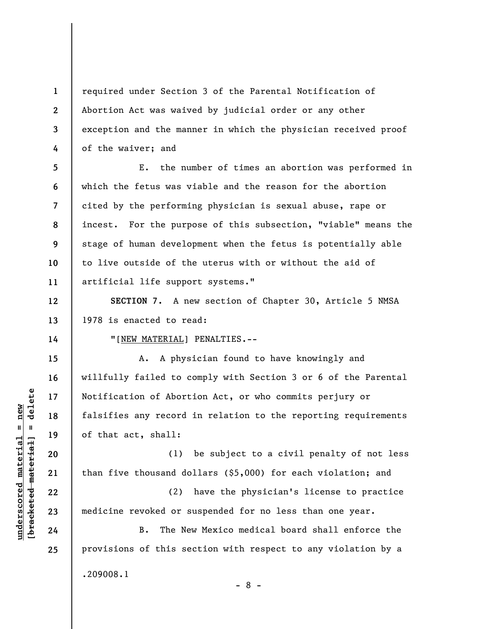**1 2 3 4**  required under Section 3 of the Parental Notification of Abortion Act was waived by judicial order or any other exception and the manner in which the physician received proof of the waiver; and

**5 6 7 8 9 10 11**  E. the number of times an abortion was performed in which the fetus was viable and the reason for the abortion cited by the performing physician is sexual abuse, rape or incest. For the purpose of this subsection, "viable" means the stage of human development when the fetus is potentially able to live outside of the uterus with or without the aid of artificial life support systems."

**SECTION 7.** A new section of Chapter 30, Article 5 NMSA 1978 is enacted to read:

"[NEW MATERIAL] PENALTIES.--

A. A physician found to have knowingly and willfully failed to comply with Section 3 or 6 of the Parental Notification of Abortion Act, or who commits perjury or falsifies any record in relation to the reporting requirements of that act, shall:

(1) be subject to a civil penalty of not less than five thousand dollars (\$5,000) for each violation; and

(2) have the physician's license to practice medicine revoked or suspended for no less than one year.

B. The New Mexico medical board shall enforce the provisions of this section with respect to any violation by a .209008.1 - 8 -

 $\frac{1}{2}$  intereted material = delete **[bracketed material] = delete**  $underscored material = new$ **underscored material = new**

**12** 

**13** 

**14** 

**15** 

**16** 

**17** 

**18** 

**19** 

**20** 

**21** 

**22** 

**23** 

**24**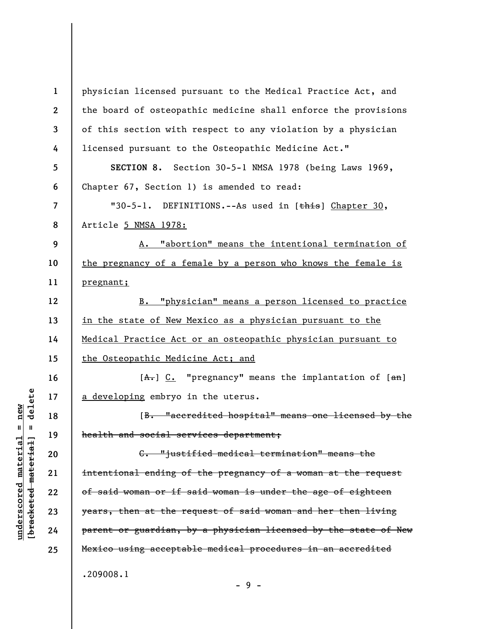**1 2 3 4 5 6 7 8 9 10 11 12 13 14 15 16 17 18 19 20 21 22 23 24 25**  physician licensed pursuant to the Medical Practice Act, and the board of osteopathic medicine shall enforce the provisions of this section with respect to any violation by a physician licensed pursuant to the Osteopathic Medicine Act." **SECTION 8.** Section 30-5-1 NMSA 1978 (being Laws 1969, Chapter 67, Section 1) is amended to read: "30-5-1. DEFINITIONS.--As used in [this] Chapter 30, Article 5 NMSA 1978: A. "abortion" means the intentional termination of the pregnancy of a female by a person who knows the female is pregnant; B. "physician" means a person licensed to practice in the state of New Mexico as a physician pursuant to the Medical Practice Act or an osteopathic physician pursuant to the Osteopathic Medicine Act; and  $[A<sub>+</sub>]$  C. "pregnancy" means the implantation of  $[an]$ a developing embryo in the uterus. [B. "accredited hospital" means one licensed by the health and social services department; C. "justified medical termination" means the intentional ending of the pregnancy of a woman at the request of said woman or if said woman is under the age of eighteen years, then at the request of said woman and her then living parent or guardian, by a physician licensed by the state of New Mexico using acceptable medical procedures in an accredited .209008.1

delete **[bracketed material] = delete**  $underscored material = new$ **underscored material = new**  $\frac{1}{2}$ 

- 9 -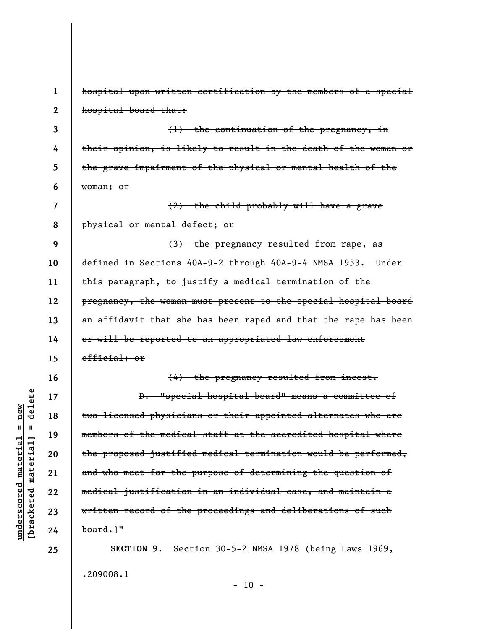**1 2 3 4 5 6 7 8 9 10 11 12 13 14 15 16 17 18 19 20 21 22 23 24 25**  hospital upon written certification by the members of a special hospital board that: (1) the continuation of the pregnancy, in their opinion, is likely to result in the death of the woman or the grave impairment of the physical or mental health of the woman; or (2) the child probably will have a grave physical or mental defect; or (3) the pregnancy resulted from rape, as defined in Sections 40A-9-2 through 40A-9-4 NMSA 1953. Under this paragraph, to justify a medical termination of the pregnancy, the woman must present to the special hospital board an affidavit that she has been raped and that the rape has been or will be reported to an appropriated law enforcement official; or (4) the pregnancy resulted from incest. D. "special hospital board" means a committee of two licensed physicians or their appointed alternates who are members of the medical staff at the accredited hospital where the proposed justified medical termination would be performed, and who meet for the purpose of determining the question of medical justification in an individual ease, and maintain a written record of the proceedings and deliberations of such  $\text{board.}$ ]" **SECTION 9**. Section 30-5-2 NMSA 1978 (being Laws 1969, .209008.1

delete **[bracketed material] = delete**  $anderscored material = new$ **underscored material = new**  $\mathbf{I}$ bracketed material

 $-10 -$